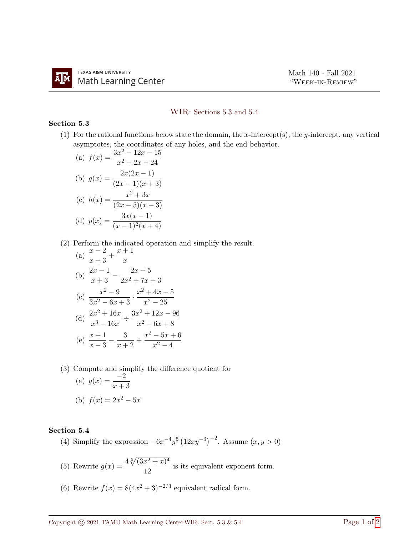## WIR: Sections 5.3 and 5.4

## Section 5.3

(1) For the rational functions below state the domain, the x-intercept(s), the y-intercept, any vertical asymptotes, the coordinates of any holes, and the end behavior.

(a) 
$$
f(x) = \frac{3x^2 - 12x - 15}{x^2 + 2x - 24}
$$
  
\n(b)  $g(x) = \frac{2x(2x - 1)}{(2x - 1)(x + 3)}$   
\n(c)  $h(x) = \frac{x^2 + 3x}{(2x - 5)(x + 3)}$   
\n(d)  $p(x) = \frac{3x(x - 1)}{(x - 1)^2(x + 4)}$ 

(2) Perform the indicated operation and simplify the result.

(a) 
$$
\frac{x-2}{x+3} + \frac{x+1}{x}
$$
  
\n(b) 
$$
\frac{2x-1}{x+3} - \frac{2x+5}{2x^2+7x+3}
$$
  
\n(c) 
$$
\frac{x^2-9}{3x^2-6x+3} \cdot \frac{x^2+4x-5}{x^2-25}
$$
  
\n(d) 
$$
\frac{2x^2+16x}{x^3-16x} \div \frac{3x^2+12x-96}{x^2+6x+8}
$$
  
\n(e) 
$$
\frac{x+1}{x-3} - \frac{3}{x+2} \div \frac{x^2-5x+6}{x^2-4}
$$

(3) Compute and simplify the difference quotient for (a)  $g(x) = \frac{-2}{x+3}$ (b)  $f(x) = 2x^2 - 5x$ 

## Section 5.4

- (4) Simplify the expression  $-6x^{-4}y^5(12xy^{-3})^{-2}$ . Assume  $(x, y > 0)$
- (5) Rewrite  $g(x) = \frac{4\sqrt[5]{(3x^2 + x)^4}}{12}$  $\frac{x^2+y^2}{12}$  is its equivalent exponent form.
- (6) Rewrite  $f(x) = 8(4x^2 + 3)^{-2/3}$  equivalent radical form.